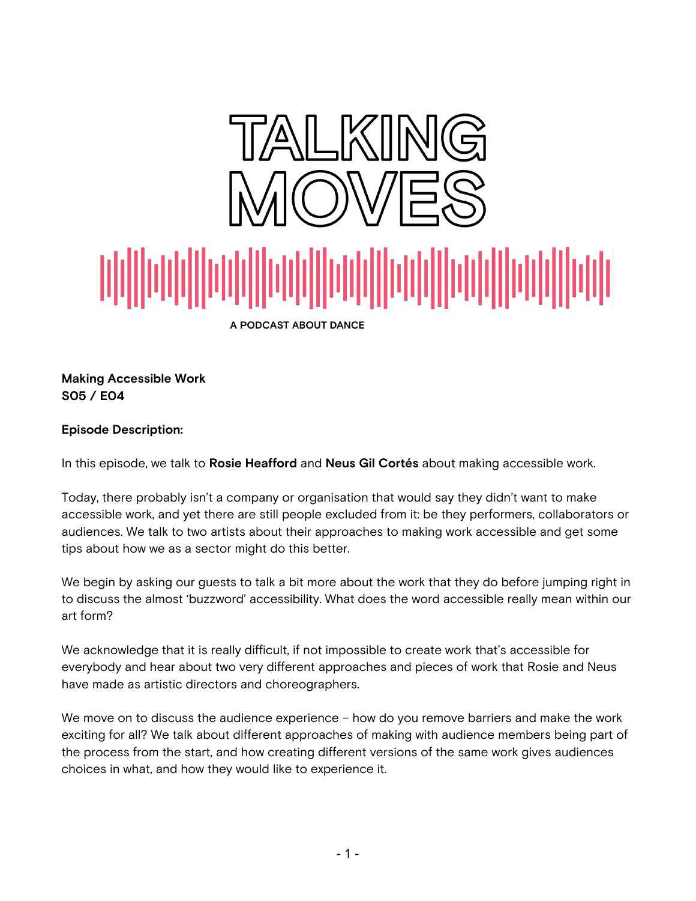

**Making Accessible Work S05 / E04**

### **Episode Description:**

In this episode, we talk to **Rosie Heafford** and **Neus Gil Cortés** about making accessible work.

Today, there probably isn't a company or organisation that would say they didn't want to make accessible work, and yet there are still people excluded from it: be they performers, collaborators or audiences. We talk to two artists about their approaches to making work accessible and get some tips about how we as a sector might do this better.

We begin by asking our guests to talk a bit more about the work that they do before jumping right in to discuss the almost 'buzzword' accessibility. What does the word accessible really mean within our art form?

We acknowledge that it is really difficult, if not impossible to create work that's accessible for everybody and hear about two very different approaches and pieces of work that Rosie and Neus have made as artistic directors and choreographers.

We move on to discuss the audience experience - how do you remove barriers and make the work exciting for all? We talk about different approaches of making with audience members being part of the process from the start, and how creating different versions of the same work gives audiences choices in what, and how they would like to experience it.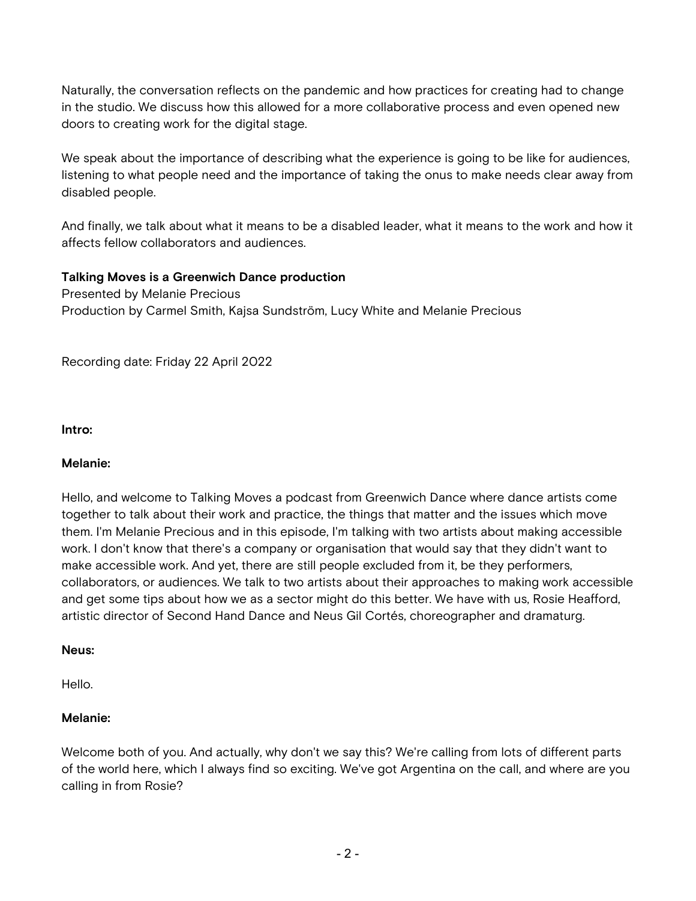Naturally, the conversation reflects on the pandemic and how practices for creating had to change in the studio. We discuss how this allowed for a more collaborative process and even opened new doors to creating work for the digital stage.

We speak about the importance of describing what the experience is going to be like for audiences, listening to what people need and the importance of taking the onus to make needs clear away from disabled people.

And finally, we talk about what it means to be a disabled leader, what it means to the work and how it affects fellow collaborators and audiences.

### **Talking Moves is a Greenwich Dance production**

Presented by Melanie Precious Production by Carmel Smith, Kajsa Sundström, Lucy White and Melanie Precious

Recording date: Friday 22 April 2022

**Intro:**

#### **Melanie:**

Hello, and welcome to Talking Moves a podcast from Greenwich Dance where dance artists come together to talk about their work and practice, the things that matter and the issues which move them. I'm Melanie Precious and in this episode, I'm talking with two artists about making accessible work. I don't know that there's a company or organisation that would say that they didn't want to make accessible work. And yet, there are still people excluded from it, be they performers, collaborators, or audiences. We talk to two artists about their approaches to making work accessible and get some tips about how we as a sector might do this better. We have with us, Rosie Heafford, artistic director of Second Hand Dance and Neus Gil Cortés, choreographer and dramaturg.

#### **Neus:**

Hello.

#### **Melanie:**

Welcome both of you. And actually, why don't we say this? We're calling from lots of different parts of the world here, which I always find so exciting. We've got Argentina on the call, and where are you calling in from Rosie?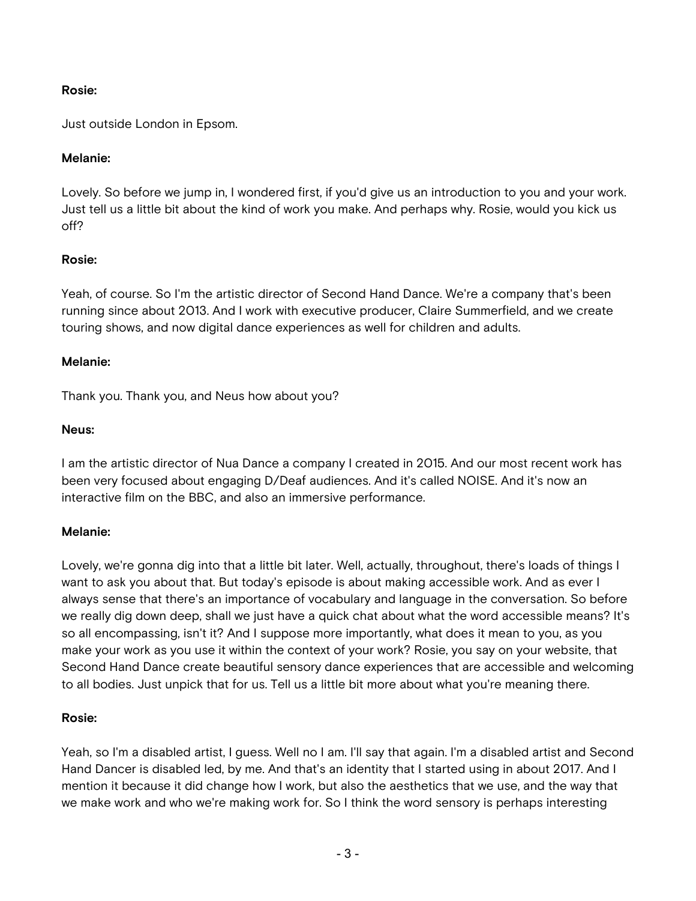### **Rosie:**

Just outside London in Epsom.

### **Melanie:**

Lovely. So before we jump in, I wondered first, if you'd give us an introduction to you and your work. Just tell us a little bit about the kind of work you make. And perhaps why. Rosie, would you kick us off?

## **Rosie:**

Yeah, of course. So I'm the artistic director of Second Hand Dance. We're a company that's been running since about 2013. And I work with executive producer, Claire Summerfield, and we create touring shows, and now digital dance experiences as well for children and adults.

#### **Melanie:**

Thank you. Thank you, and Neus how about you?

#### **Neus:**

I am the artistic director of Nua Dance a company I created in 2015. And our most recent work has been very focused about engaging D/Deaf audiences. And it's called NOISE. And it's now an interactive film on the BBC, and also an immersive performance.

#### **Melanie:**

Lovely, we're gonna dig into that a little bit later. Well, actually, throughout, there's loads of things I want to ask you about that. But today's episode is about making accessible work. And as ever I always sense that there's an importance of vocabulary and language in the conversation. So before we really dig down deep, shall we just have a quick chat about what the word accessible means? It's so all encompassing, isn't it? And I suppose more importantly, what does it mean to you, as you make your work as you use it within the context of your work? Rosie, you say on your website, that Second Hand Dance create beautiful sensory dance experiences that are accessible and welcoming to all bodies. Just unpick that for us. Tell us a little bit more about what you're meaning there.

#### **Rosie:**

Yeah, so I'm a disabled artist, I guess. Well no I am. I'll say that again. I'm a disabled artist and Second Hand Dancer is disabled led, by me. And that's an identity that I started using in about 2017. And I mention it because it did change how I work, but also the aesthetics that we use, and the way that we make work and who we're making work for. So I think the word sensory is perhaps interesting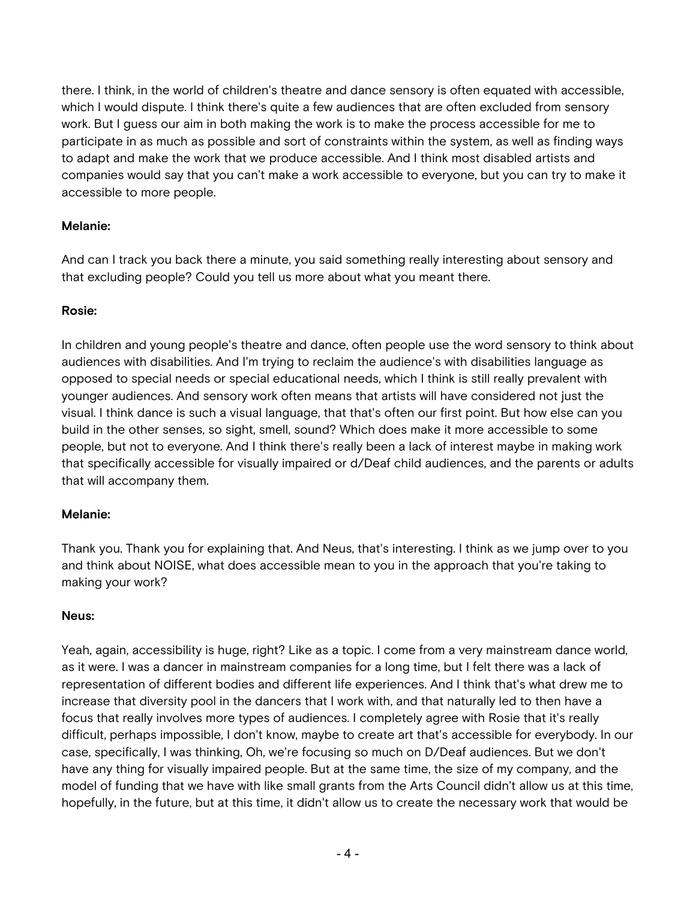there. I think, in the world of children's theatre and dance sensory is often equated with accessible, which I would dispute. I think there's quite a few audiences that are often excluded from sensory work. But I guess our aim in both making the work is to make the process accessible for me to participate in as much as possible and sort of constraints within the system, as well as finding ways to adapt and make the work that we produce accessible. And I think most disabled artists and companies would say that you can't make a work accessible to everyone, but you can try to make it accessible to more people.

## **Melanie:**

And can I track you back there a minute, you said something really interesting about sensory and that excluding people? Could you tell us more about what you meant there.

## **Rosie:**

In children and young people's theatre and dance, often people use the word sensory to think about audiences with disabilities. And I'm trying to reclaim the audience's with disabilities language as opposed to special needs or special educational needs, which I think is still really prevalent with younger audiences. And sensory work often means that artists will have considered not just the visual. I think dance is such a visual language, that that's often our first point. But how else can you build in the other senses, so sight, smell, sound? Which does make it more accessible to some people, but not to everyone. And I think there's really been a lack of interest maybe in making work that specifically accessible for visually impaired or d/Deaf child audiences, and the parents or adults that will accompany them.

## **Melanie:**

Thank you. Thank you for explaining that. And Neus, that's interesting. I think as we jump over to you and think about NOISE, what does accessible mean to you in the approach that you're taking to making your work?

## **Neus:**

Yeah, again, accessibility is huge, right? Like as a topic. I come from a very mainstream dance world, as it were. I was a dancer in mainstream companies for a long time, but I felt there was a lack of representation of different bodies and different life experiences. And I think that's what drew me to increase that diversity pool in the dancers that I work with, and that naturally led to then have a focus that really involves more types of audiences. I completely agree with Rosie that it's really difficult, perhaps impossible, I don't know, maybe to create art that's accessible for everybody. In our case, specifically, I was thinking, Oh, we're focusing so much on D/Deaf audiences. But we don't have any thing for visually impaired people. But at the same time, the size of my company, and the model of funding that we have with like small grants from the Arts Council didn't allow us at this time, hopefully, in the future, but at this time, it didn't allow us to create the necessary work that would be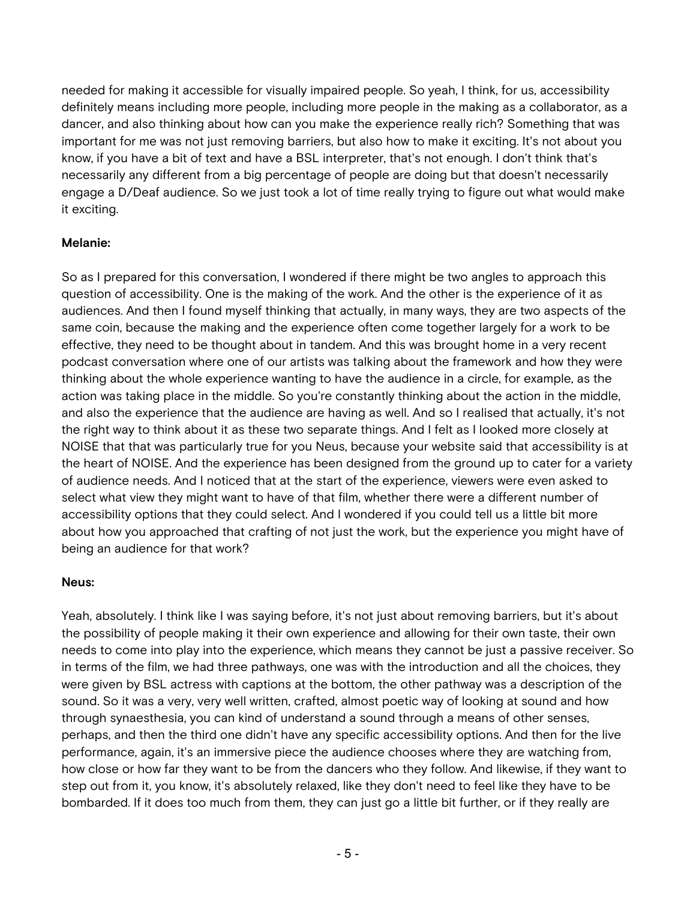needed for making it accessible for visually impaired people. So yeah, I think, for us, accessibility definitely means including more people, including more people in the making as a collaborator, as a dancer, and also thinking about how can you make the experience really rich? Something that was important for me was not just removing barriers, but also how to make it exciting. It's not about you know, if you have a bit of text and have a BSL interpreter, that's not enough. I don't think that's necessarily any different from a big percentage of people are doing but that doesn't necessarily engage a D/Deaf audience. So we just took a lot of time really trying to figure out what would make it exciting.

## **Melanie:**

So as I prepared for this conversation, I wondered if there might be two angles to approach this question of accessibility. One is the making of the work. And the other is the experience of it as audiences. And then I found myself thinking that actually, in many ways, they are two aspects of the same coin, because the making and the experience often come together largely for a work to be effective, they need to be thought about in tandem. And this was brought home in a very recent podcast conversation where one of our artists was talking about the framework and how they were thinking about the whole experience wanting to have the audience in a circle, for example, as the action was taking place in the middle. So you're constantly thinking about the action in the middle, and also the experience that the audience are having as well. And so I realised that actually, it's not the right way to think about it as these two separate things. And I felt as I looked more closely at NOISE that that was particularly true for you Neus, because your website said that accessibility is at the heart of NOISE. And the experience has been designed from the ground up to cater for a variety of audience needs. And I noticed that at the start of the experience, viewers were even asked to select what view they might want to have of that film, whether there were a different number of accessibility options that they could select. And I wondered if you could tell us a little bit more about how you approached that crafting of not just the work, but the experience you might have of being an audience for that work?

#### **Neus:**

Yeah, absolutely. I think like I was saying before, it's not just about removing barriers, but it's about the possibility of people making it their own experience and allowing for their own taste, their own needs to come into play into the experience, which means they cannot be just a passive receiver. So in terms of the film, we had three pathways, one was with the introduction and all the choices, they were given by BSL actress with captions at the bottom, the other pathway was a description of the sound. So it was a very, very well written, crafted, almost poetic way of looking at sound and how through synaesthesia, you can kind of understand a sound through a means of other senses, perhaps, and then the third one didn't have any specific accessibility options. And then for the live performance, again, it's an immersive piece the audience chooses where they are watching from, how close or how far they want to be from the dancers who they follow. And likewise, if they want to step out from it, you know, it's absolutely relaxed, like they don't need to feel like they have to be bombarded. If it does too much from them, they can just go a little bit further, or if they really are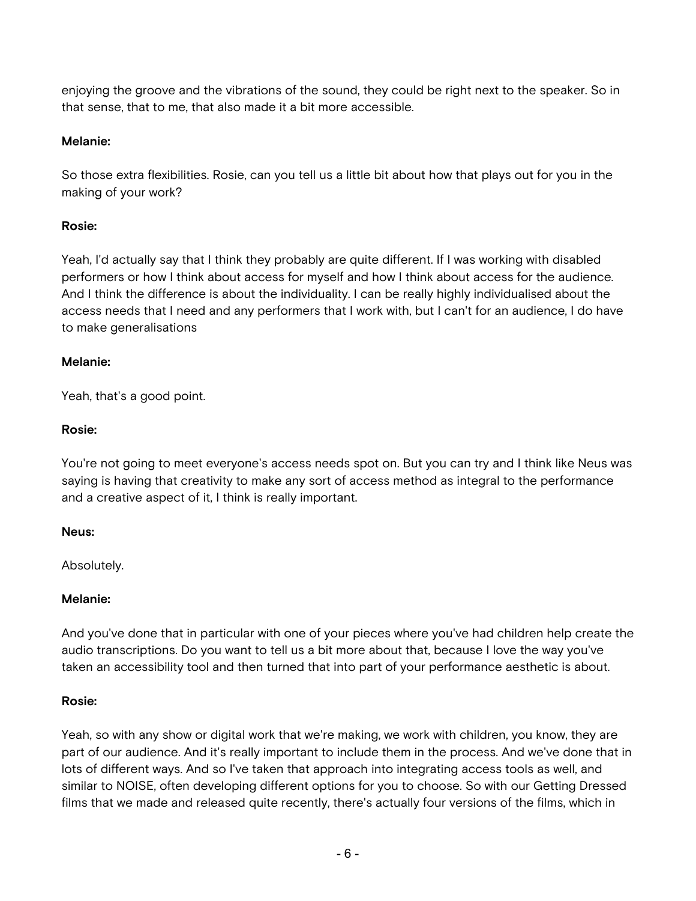enjoying the groove and the vibrations of the sound, they could be right next to the speaker. So in that sense, that to me, that also made it a bit more accessible.

### **Melanie:**

So those extra flexibilities. Rosie, can you tell us a little bit about how that plays out for you in the making of your work?

## **Rosie:**

Yeah, I'd actually say that I think they probably are quite different. If I was working with disabled performers or how I think about access for myself and how I think about access for the audience. And I think the difference is about the individuality. I can be really highly individualised about the access needs that I need and any performers that I work with, but I can't for an audience, I do have to make generalisations

#### **Melanie:**

Yeah, that's a good point.

### **Rosie:**

You're not going to meet everyone's access needs spot on. But you can try and I think like Neus was saying is having that creativity to make any sort of access method as integral to the performance and a creative aspect of it, I think is really important.

#### **Neus:**

Absolutely.

## **Melanie:**

And you've done that in particular with one of your pieces where you've had children help create the audio transcriptions. Do you want to tell us a bit more about that, because I love the way you've taken an accessibility tool and then turned that into part of your performance aesthetic is about.

#### **Rosie:**

Yeah, so with any show or digital work that we're making, we work with children, you know, they are part of our audience. And it's really important to include them in the process. And we've done that in lots of different ways. And so I've taken that approach into integrating access tools as well, and similar to NOISE, often developing different options for you to choose. So with our Getting Dressed films that we made and released quite recently, there's actually four versions of the films, which in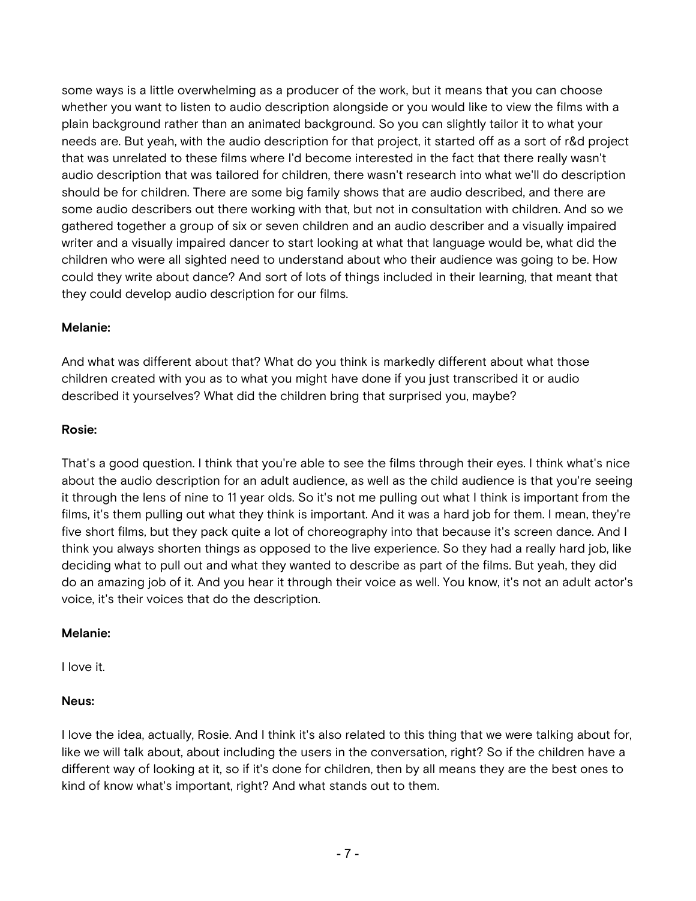some ways is a little overwhelming as a producer of the work, but it means that you can choose whether you want to listen to audio description alongside or you would like to view the films with a plain background rather than an animated background. So you can slightly tailor it to what your needs are. But yeah, with the audio description for that project, it started off as a sort of r&d project that was unrelated to these films where I'd become interested in the fact that there really wasn't audio description that was tailored for children, there wasn't research into what we'll do description should be for children. There are some big family shows that are audio described, and there are some audio describers out there working with that, but not in consultation with children. And so we gathered together a group of six or seven children and an audio describer and a visually impaired writer and a visually impaired dancer to start looking at what that language would be, what did the children who were all sighted need to understand about who their audience was going to be. How could they write about dance? And sort of lots of things included in their learning, that meant that they could develop audio description for our films.

## **Melanie:**

And what was different about that? What do you think is markedly different about what those children created with you as to what you might have done if you just transcribed it or audio described it yourselves? What did the children bring that surprised you, maybe?

## **Rosie:**

That's a good question. I think that you're able to see the films through their eyes. I think what's nice about the audio description for an adult audience, as well as the child audience is that you're seeing it through the lens of nine to 11 year olds. So it's not me pulling out what I think is important from the films, it's them pulling out what they think is important. And it was a hard job for them. I mean, they're five short films, but they pack quite a lot of choreography into that because it's screen dance. And I think you always shorten things as opposed to the live experience. So they had a really hard job, like deciding what to pull out and what they wanted to describe as part of the films. But yeah, they did do an amazing job of it. And you hear it through their voice as well. You know, it's not an adult actor's voice, it's their voices that do the description.

## **Melanie:**

I love it.

# **Neus:**

I love the idea, actually, Rosie. And I think it's also related to this thing that we were talking about for, like we will talk about, about including the users in the conversation, right? So if the children have a different way of looking at it, so if it's done for children, then by all means they are the best ones to kind of know what's important, right? And what stands out to them.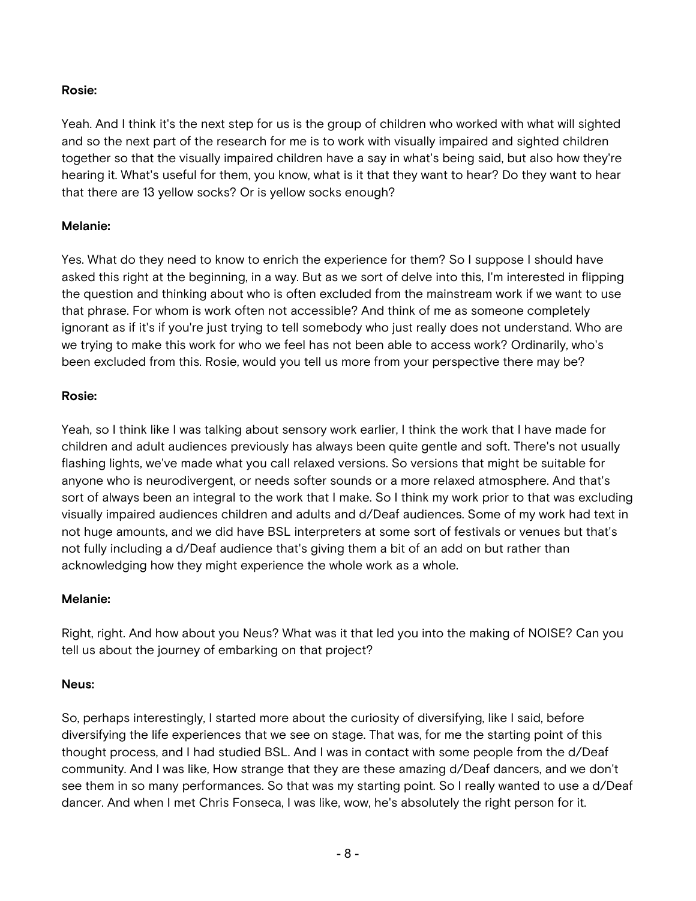## **Rosie:**

Yeah. And I think it's the next step for us is the group of children who worked with what will sighted and so the next part of the research for me is to work with visually impaired and sighted children together so that the visually impaired children have a say in what's being said, but also how they're hearing it. What's useful for them, you know, what is it that they want to hear? Do they want to hear that there are 13 yellow socks? Or is yellow socks enough?

## **Melanie:**

Yes. What do they need to know to enrich the experience for them? So I suppose I should have asked this right at the beginning, in a way. But as we sort of delve into this, I'm interested in flipping the question and thinking about who is often excluded from the mainstream work if we want to use that phrase. For whom is work often not accessible? And think of me as someone completely ignorant as if it's if you're just trying to tell somebody who just really does not understand. Who are we trying to make this work for who we feel has not been able to access work? Ordinarily, who's been excluded from this. Rosie, would you tell us more from your perspective there may be?

## **Rosie:**

Yeah, so I think like I was talking about sensory work earlier, I think the work that I have made for children and adult audiences previously has always been quite gentle and soft. There's not usually flashing lights, we've made what you call relaxed versions. So versions that might be suitable for anyone who is neurodivergent, or needs softer sounds or a more relaxed atmosphere. And that's sort of always been an integral to the work that I make. So I think my work prior to that was excluding visually impaired audiences children and adults and d/Deaf audiences. Some of my work had text in not huge amounts, and we did have BSL interpreters at some sort of festivals or venues but that's not fully including a d/Deaf audience that's giving them a bit of an add on but rather than acknowledging how they might experience the whole work as a whole.

# **Melanie:**

Right, right. And how about you Neus? What was it that led you into the making of NOISE? Can you tell us about the journey of embarking on that project?

# **Neus:**

So, perhaps interestingly, I started more about the curiosity of diversifying, like I said, before diversifying the life experiences that we see on stage. That was, for me the starting point of this thought process, and I had studied BSL. And I was in contact with some people from the d/Deaf community. And I was like, How strange that they are these amazing d/Deaf dancers, and we don't see them in so many performances. So that was my starting point. So I really wanted to use a d/Deaf dancer. And when I met Chris Fonseca, I was like, wow, he's absolutely the right person for it.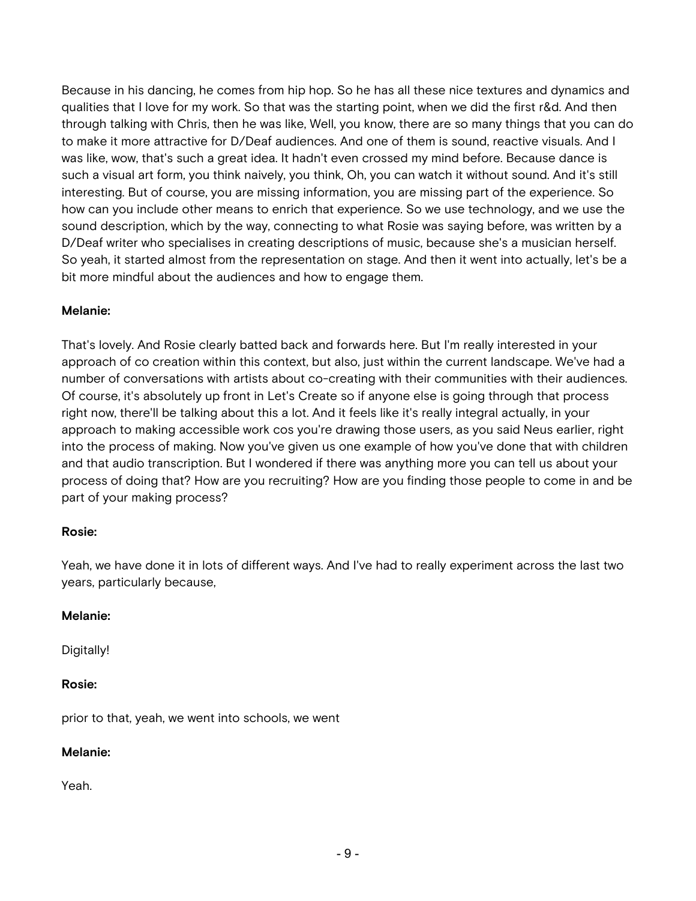Because in his dancing, he comes from hip hop. So he has all these nice textures and dynamics and qualities that I love for my work. So that was the starting point, when we did the first r&d. And then through talking with Chris, then he was like, Well, you know, there are so many things that you can do to make it more attractive for D/Deaf audiences. And one of them is sound, reactive visuals. And I was like, wow, that's such a great idea. It hadn't even crossed my mind before. Because dance is such a visual art form, you think naively, you think, Oh, you can watch it without sound. And it's still interesting. But of course, you are missing information, you are missing part of the experience. So how can you include other means to enrich that experience. So we use technology, and we use the sound description, which by the way, connecting to what Rosie was saying before, was written by a D/Deaf writer who specialises in creating descriptions of music, because she's a musician herself. So yeah, it started almost from the representation on stage. And then it went into actually, let's be a bit more mindful about the audiences and how to engage them.

### **Melanie:**

That's lovely. And Rosie clearly batted back and forwards here. But I'm really interested in your approach of co creation within this context, but also, just within the current landscape. We've had a number of conversations with artists about co-creating with their communities with their audiences. Of course, it's absolutely up front in Let's Create so if anyone else is going through that process right now, there'll be talking about this a lot. And it feels like it's really integral actually, in your approach to making accessible work cos you're drawing those users, as you said Neus earlier, right into the process of making. Now you've given us one example of how you've done that with children and that audio transcription. But I wondered if there was anything more you can tell us about your process of doing that? How are you recruiting? How are you finding those people to come in and be part of your making process?

#### **Rosie:**

Yeah, we have done it in lots of different ways. And I've had to really experiment across the last two years, particularly because,

#### **Melanie:**

Digitally!

#### **Rosie:**

prior to that, yeah, we went into schools, we went

#### **Melanie:**

Yeah.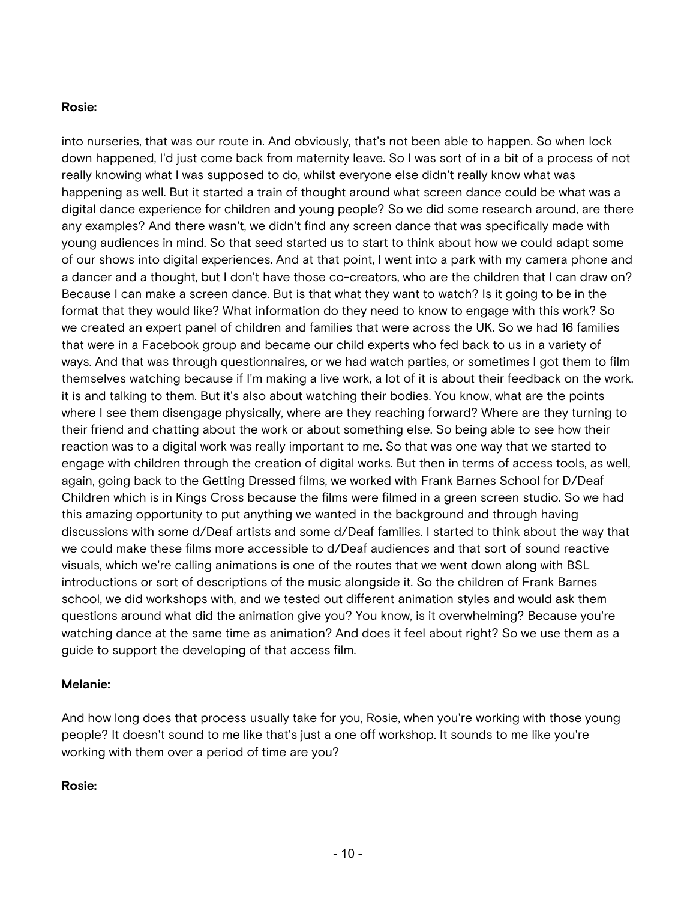#### **Rosie:**

into nurseries, that was our route in. And obviously, that's not been able to happen. So when lock down happened, I'd just come back from maternity leave. So I was sort of in a bit of a process of not really knowing what I was supposed to do, whilst everyone else didn't really know what was happening as well. But it started a train of thought around what screen dance could be what was a digital dance experience for children and young people? So we did some research around, are there any examples? And there wasn't, we didn't find any screen dance that was specifically made with young audiences in mind. So that seed started us to start to think about how we could adapt some of our shows into digital experiences. And at that point, I went into a park with my camera phone and a dancer and a thought, but I don't have those co-creators, who are the children that I can draw on? Because I can make a screen dance. But is that what they want to watch? Is it going to be in the format that they would like? What information do they need to know to engage with this work? So we created an expert panel of children and families that were across the UK. So we had 16 families that were in a Facebook group and became our child experts who fed back to us in a variety of ways. And that was through questionnaires, or we had watch parties, or sometimes I got them to film themselves watching because if I'm making a live work, a lot of it is about their feedback on the work, it is and talking to them. But it's also about watching their bodies. You know, what are the points where I see them disengage physically, where are they reaching forward? Where are they turning to their friend and chatting about the work or about something else. So being able to see how their reaction was to a digital work was really important to me. So that was one way that we started to engage with children through the creation of digital works. But then in terms of access tools, as well, again, going back to the Getting Dressed films, we worked with Frank Barnes School for D/Deaf Children which is in Kings Cross because the films were filmed in a green screen studio. So we had this amazing opportunity to put anything we wanted in the background and through having discussions with some d/Deaf artists and some d/Deaf families. I started to think about the way that we could make these films more accessible to d/Deaf audiences and that sort of sound reactive visuals, which we're calling animations is one of the routes that we went down along with BSL introductions or sort of descriptions of the music alongside it. So the children of Frank Barnes school, we did workshops with, and we tested out different animation styles and would ask them questions around what did the animation give you? You know, is it overwhelming? Because you're watching dance at the same time as animation? And does it feel about right? So we use them as a guide to support the developing of that access film.

#### **Melanie:**

And how long does that process usually take for you, Rosie, when you're working with those young people? It doesn't sound to me like that's just a one off workshop. It sounds to me like you're working with them over a period of time are you?

#### **Rosie:**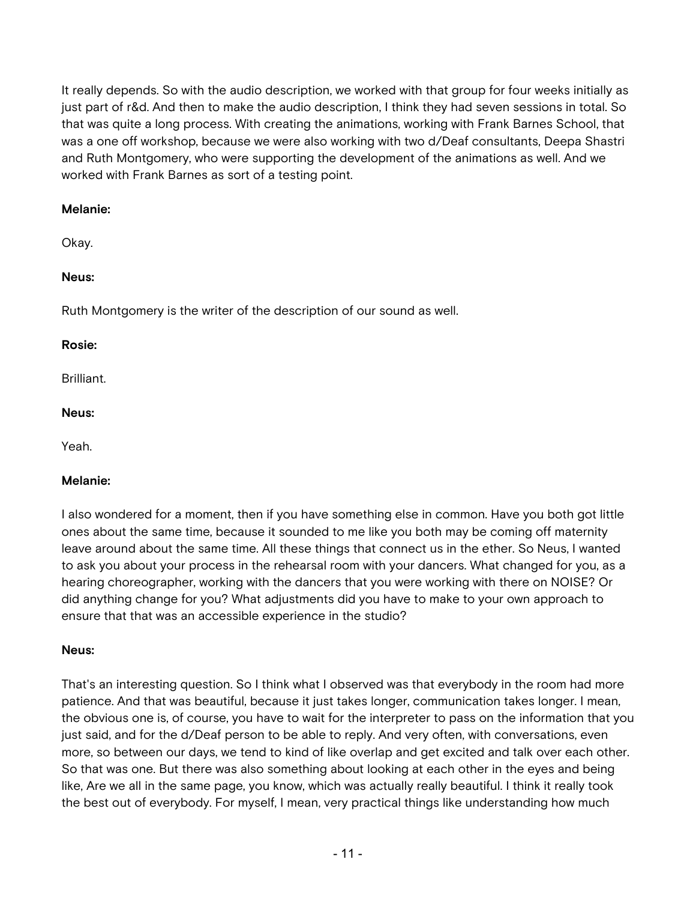It really depends. So with the audio description, we worked with that group for four weeks initially as just part of r&d. And then to make the audio description, I think they had seven sessions in total. So that was quite a long process. With creating the animations, working with Frank Barnes School, that was a one off workshop, because we were also working with two d/Deaf consultants, Deepa Shastri and Ruth Montgomery, who were supporting the development of the animations as well. And we worked with Frank Barnes as sort of a testing point.

### **Melanie:**

Okay.

## **Neus:**

Ruth Montgomery is the writer of the description of our sound as well.

### **Rosie:**

Brilliant.

#### **Neus:**

Yeah.

#### **Melanie:**

I also wondered for a moment, then if you have something else in common. Have you both got little ones about the same time, because it sounded to me like you both may be coming off maternity leave around about the same time. All these things that connect us in the ether. So Neus, I wanted to ask you about your process in the rehearsal room with your dancers. What changed for you, as a hearing choreographer, working with the dancers that you were working with there on NOISE? Or did anything change for you? What adjustments did you have to make to your own approach to ensure that that was an accessible experience in the studio?

## **Neus:**

That's an interesting question. So I think what I observed was that everybody in the room had more patience. And that was beautiful, because it just takes longer, communication takes longer. I mean, the obvious one is, of course, you have to wait for the interpreter to pass on the information that you just said, and for the d/Deaf person to be able to reply. And very often, with conversations, even more, so between our days, we tend to kind of like overlap and get excited and talk over each other. So that was one. But there was also something about looking at each other in the eyes and being like, Are we all in the same page, you know, which was actually really beautiful. I think it really took the best out of everybody. For myself, I mean, very practical things like understanding how much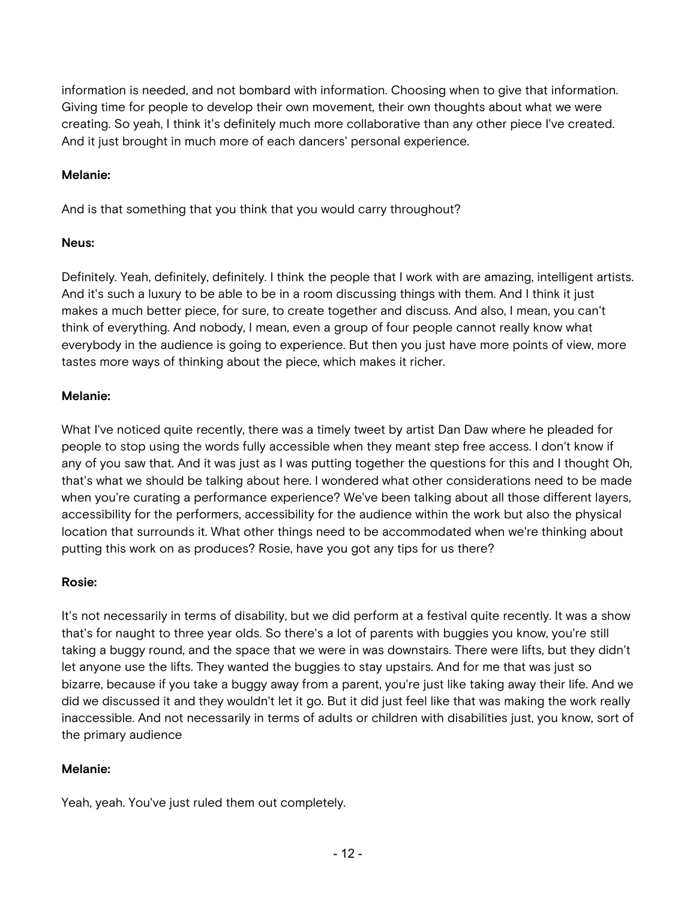information is needed, and not bombard with information. Choosing when to give that information. Giving time for people to develop their own movement, their own thoughts about what we were creating. So yeah, I think it's definitely much more collaborative than any other piece I've created. And it just brought in much more of each dancers' personal experience.

### **Melanie:**

And is that something that you think that you would carry throughout?

### **Neus:**

Definitely. Yeah, definitely, definitely. I think the people that I work with are amazing, intelligent artists. And it's such a luxury to be able to be in a room discussing things with them. And I think it just makes a much better piece, for sure, to create together and discuss. And also, I mean, you can't think of everything. And nobody, I mean, even a group of four people cannot really know what everybody in the audience is going to experience. But then you just have more points of view, more tastes more ways of thinking about the piece, which makes it richer.

#### **Melanie:**

What I've noticed quite recently, there was a timely tweet by artist Dan Daw where he pleaded for people to stop using the words fully accessible when they meant step free access. I don't know if any of you saw that. And it was just as I was putting together the questions for this and I thought Oh, that's what we should be talking about here. I wondered what other considerations need to be made when you're curating a performance experience? We've been talking about all those different layers, accessibility for the performers, accessibility for the audience within the work but also the physical location that surrounds it. What other things need to be accommodated when we're thinking about putting this work on as produces? Rosie, have you got any tips for us there?

#### **Rosie:**

It's not necessarily in terms of disability, but we did perform at a festival quite recently. It was a show that's for naught to three year olds. So there's a lot of parents with buggies you know, you're still taking a buggy round, and the space that we were in was downstairs. There were lifts, but they didn't let anyone use the lifts. They wanted the buggies to stay upstairs. And for me that was just so bizarre, because if you take a buggy away from a parent, you're just like taking away their life. And we did we discussed it and they wouldn't let it go. But it did just feel like that was making the work really inaccessible. And not necessarily in terms of adults or children with disabilities just, you know, sort of the primary audience

## **Melanie:**

Yeah, yeah. You've just ruled them out completely.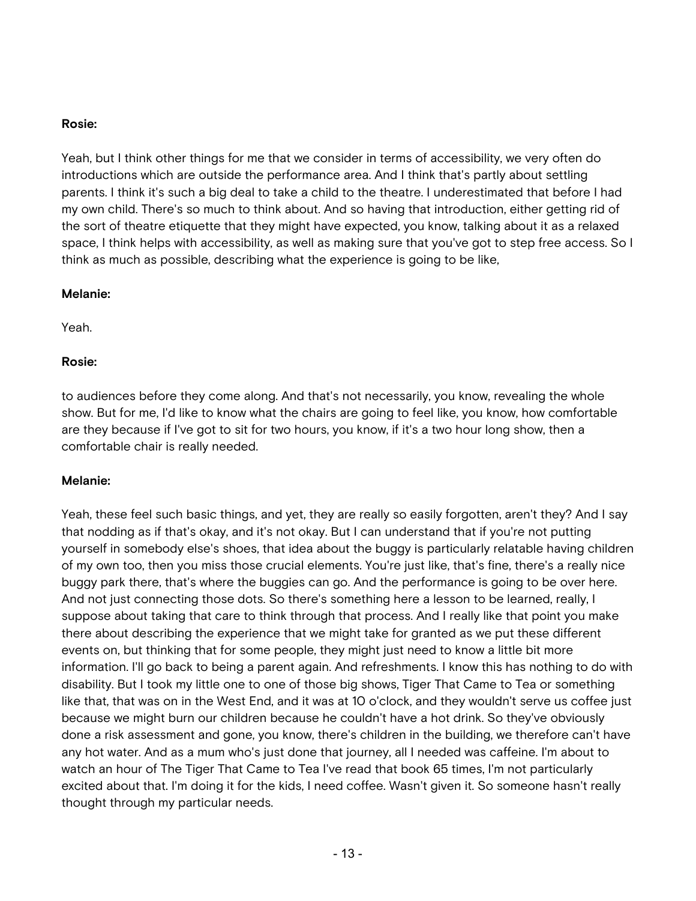#### **Rosie:**

Yeah, but I think other things for me that we consider in terms of accessibility, we very often do introductions which are outside the performance area. And I think that's partly about settling parents. I think it's such a big deal to take a child to the theatre. I underestimated that before I had my own child. There's so much to think about. And so having that introduction, either getting rid of the sort of theatre etiquette that they might have expected, you know, talking about it as a relaxed space, I think helps with accessibility, as well as making sure that you've got to step free access. So I think as much as possible, describing what the experience is going to be like,

#### **Melanie:**

Yeah.

### **Rosie:**

to audiences before they come along. And that's not necessarily, you know, revealing the whole show. But for me, I'd like to know what the chairs are going to feel like, you know, how comfortable are they because if I've got to sit for two hours, you know, if it's a two hour long show, then a comfortable chair is really needed.

#### **Melanie:**

Yeah, these feel such basic things, and yet, they are really so easily forgotten, aren't they? And I say that nodding as if that's okay, and it's not okay. But I can understand that if you're not putting yourself in somebody else's shoes, that idea about the buggy is particularly relatable having children of my own too, then you miss those crucial elements. You're just like, that's fine, there's a really nice buggy park there, that's where the buggies can go. And the performance is going to be over here. And not just connecting those dots. So there's something here a lesson to be learned, really, I suppose about taking that care to think through that process. And I really like that point you make there about describing the experience that we might take for granted as we put these different events on, but thinking that for some people, they might just need to know a little bit more information. I'll go back to being a parent again. And refreshments. I know this has nothing to do with disability. But I took my little one to one of those big shows, Tiger That Came to Tea or something like that, that was on in the West End, and it was at 10 o'clock, and they wouldn't serve us coffee just because we might burn our children because he couldn't have a hot drink. So they've obviously done a risk assessment and gone, you know, there's children in the building, we therefore can't have any hot water. And as a mum who's just done that journey, all I needed was caffeine. I'm about to watch an hour of The Tiger That Came to Tea I've read that book 65 times, I'm not particularly excited about that. I'm doing it for the kids, I need coffee. Wasn't given it. So someone hasn't really thought through my particular needs.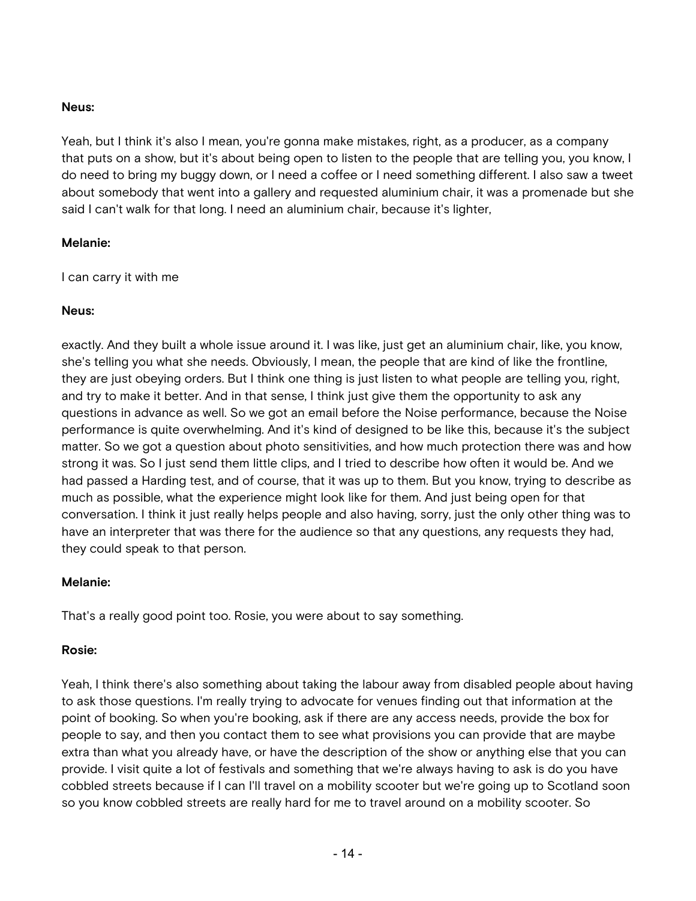### **Neus:**

Yeah, but I think it's also I mean, you're gonna make mistakes, right, as a producer, as a company that puts on a show, but it's about being open to listen to the people that are telling you, you know, I do need to bring my buggy down, or I need a coffee or I need something different. I also saw a tweet about somebody that went into a gallery and requested aluminium chair, it was a promenade but she said I can't walk for that long. I need an aluminium chair, because it's lighter,

### **Melanie:**

I can carry it with me

### **Neus:**

exactly. And they built a whole issue around it. I was like, just get an aluminium chair, like, you know, she's telling you what she needs. Obviously, I mean, the people that are kind of like the frontline, they are just obeying orders. But I think one thing is just listen to what people are telling you, right, and try to make it better. And in that sense, I think just give them the opportunity to ask any questions in advance as well. So we got an email before the Noise performance, because the Noise performance is quite overwhelming. And it's kind of designed to be like this, because it's the subject matter. So we got a question about photo sensitivities, and how much protection there was and how strong it was. So I just send them little clips, and I tried to describe how often it would be. And we had passed a Harding test, and of course, that it was up to them. But you know, trying to describe as much as possible, what the experience might look like for them. And just being open for that conversation. I think it just really helps people and also having, sorry, just the only other thing was to have an interpreter that was there for the audience so that any questions, any requests they had, they could speak to that person.

#### **Melanie:**

That's a really good point too. Rosie, you were about to say something.

## **Rosie:**

Yeah, I think there's also something about taking the labour away from disabled people about having to ask those questions. I'm really trying to advocate for venues finding out that information at the point of booking. So when you're booking, ask if there are any access needs, provide the box for people to say, and then you contact them to see what provisions you can provide that are maybe extra than what you already have, or have the description of the show or anything else that you can provide. I visit quite a lot of festivals and something that we're always having to ask is do you have cobbled streets because if I can I'll travel on a mobility scooter but we're going up to Scotland soon so you know cobbled streets are really hard for me to travel around on a mobility scooter. So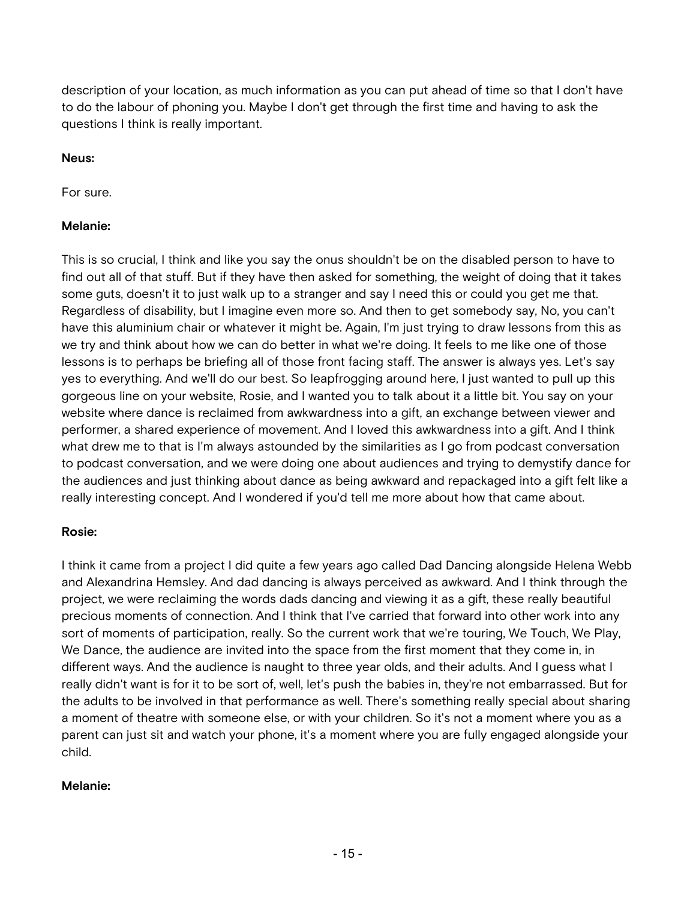description of your location, as much information as you can put ahead of time so that I don't have to do the labour of phoning you. Maybe I don't get through the first time and having to ask the questions I think is really important.

### **Neus:**

For sure.

### **Melanie:**

This is so crucial, I think and like you say the onus shouldn't be on the disabled person to have to find out all of that stuff. But if they have then asked for something, the weight of doing that it takes some guts, doesn't it to just walk up to a stranger and say I need this or could you get me that. Regardless of disability, but I imagine even more so. And then to get somebody say, No, you can't have this aluminium chair or whatever it might be. Again, I'm just trying to draw lessons from this as we try and think about how we can do better in what we're doing. It feels to me like one of those lessons is to perhaps be briefing all of those front facing staff. The answer is always yes. Let's say yes to everything. And we'll do our best. So leapfrogging around here, I just wanted to pull up this gorgeous line on your website, Rosie, and I wanted you to talk about it a little bit. You say on your website where dance is reclaimed from awkwardness into a gift, an exchange between viewer and performer, a shared experience of movement. And I loved this awkwardness into a gift. And I think what drew me to that is I'm always astounded by the similarities as I go from podcast conversation to podcast conversation, and we were doing one about audiences and trying to demystify dance for the audiences and just thinking about dance as being awkward and repackaged into a gift felt like a really interesting concept. And I wondered if you'd tell me more about how that came about.

## **Rosie:**

I think it came from a project I did quite a few years ago called Dad Dancing alongside Helena Webb and Alexandrina Hemsley. And dad dancing is always perceived as awkward. And I think through the project, we were reclaiming the words dads dancing and viewing it as a gift, these really beautiful precious moments of connection. And I think that I've carried that forward into other work into any sort of moments of participation, really. So the current work that we're touring, We Touch, We Play, We Dance, the audience are invited into the space from the first moment that they come in, in different ways. And the audience is naught to three year olds, and their adults. And I guess what I really didn't want is for it to be sort of, well, let's push the babies in, they're not embarrassed. But for the adults to be involved in that performance as well. There's something really special about sharing a moment of theatre with someone else, or with your children. So it's not a moment where you as a parent can just sit and watch your phone, it's a moment where you are fully engaged alongside your child.

## **Melanie:**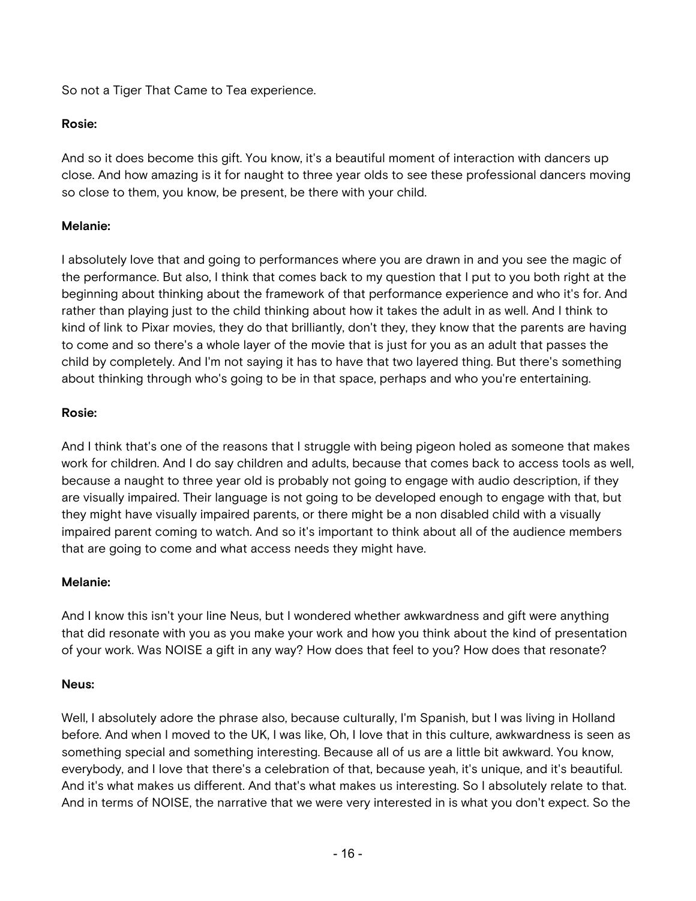So not a Tiger That Came to Tea experience.

# **Rosie:**

And so it does become this gift. You know, it's a beautiful moment of interaction with dancers up close. And how amazing is it for naught to three year olds to see these professional dancers moving so close to them, you know, be present, be there with your child.

# **Melanie:**

I absolutely love that and going to performances where you are drawn in and you see the magic of the performance. But also, I think that comes back to my question that I put to you both right at the beginning about thinking about the framework of that performance experience and who it's for. And rather than playing just to the child thinking about how it takes the adult in as well. And I think to kind of link to Pixar movies, they do that brilliantly, don't they, they know that the parents are having to come and so there's a whole layer of the movie that is just for you as an adult that passes the child by completely. And I'm not saying it has to have that two layered thing. But there's something about thinking through who's going to be in that space, perhaps and who you're entertaining.

# **Rosie:**

And I think that's one of the reasons that I struggle with being pigeon holed as someone that makes work for children. And I do say children and adults, because that comes back to access tools as well, because a naught to three year old is probably not going to engage with audio description, if they are visually impaired. Their language is not going to be developed enough to engage with that, but they might have visually impaired parents, or there might be a non disabled child with a visually impaired parent coming to watch. And so it's important to think about all of the audience members that are going to come and what access needs they might have.

## **Melanie:**

And I know this isn't your line Neus, but I wondered whether awkwardness and gift were anything that did resonate with you as you make your work and how you think about the kind of presentation of your work. Was NOISE a gift in any way? How does that feel to you? How does that resonate?

## **Neus:**

Well, I absolutely adore the phrase also, because culturally, I'm Spanish, but I was living in Holland before. And when I moved to the UK, I was like, Oh, I love that in this culture, awkwardness is seen as something special and something interesting. Because all of us are a little bit awkward. You know, everybody, and I love that there's a celebration of that, because yeah, it's unique, and it's beautiful. And it's what makes us different. And that's what makes us interesting. So I absolutely relate to that. And in terms of NOISE, the narrative that we were very interested in is what you don't expect. So the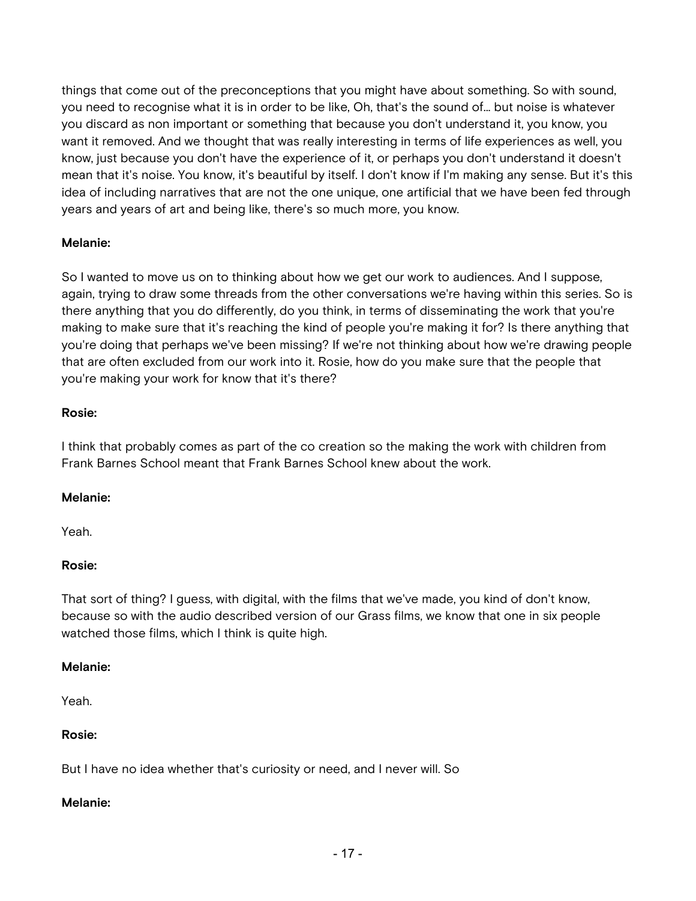things that come out of the preconceptions that you might have about something. So with sound, you need to recognise what it is in order to be like, Oh, that's the sound of... but noise is whatever you discard as non important or something that because you don't understand it, you know, you want it removed. And we thought that was really interesting in terms of life experiences as well, you know, just because you don't have the experience of it, or perhaps you don't understand it doesn't mean that it's noise. You know, it's beautiful by itself. I don't know if I'm making any sense. But it's this idea of including narratives that are not the one unique, one artificial that we have been fed through years and years of art and being like, there's so much more, you know.

## **Melanie:**

So I wanted to move us on to thinking about how we get our work to audiences. And I suppose, again, trying to draw some threads from the other conversations we're having within this series. So is there anything that you do differently, do you think, in terms of disseminating the work that you're making to make sure that it's reaching the kind of people you're making it for? Is there anything that you're doing that perhaps we've been missing? If we're not thinking about how we're drawing people that are often excluded from our work into it. Rosie, how do you make sure that the people that you're making your work for know that it's there?

### **Rosie:**

I think that probably comes as part of the co creation so the making the work with children from Frank Barnes School meant that Frank Barnes School knew about the work.

## **Melanie:**

Yeah.

## **Rosie:**

That sort of thing? I guess, with digital, with the films that we've made, you kind of don't know, because so with the audio described version of our Grass films, we know that one in six people watched those films, which I think is quite high.

#### **Melanie:**

Yeah.

## **Rosie:**

But I have no idea whether that's curiosity or need, and I never will. So

#### **Melanie:**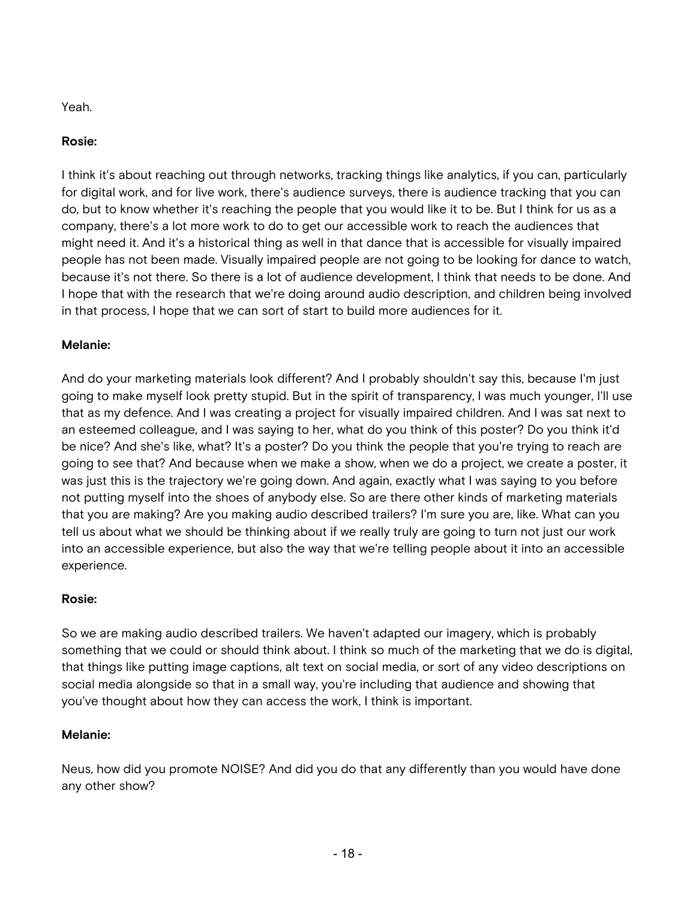Yeah.

# **Rosie:**

I think it's about reaching out through networks, tracking things like analytics, if you can, particularly for digital work, and for live work, there's audience surveys, there is audience tracking that you can do, but to know whether it's reaching the people that you would like it to be. But I think for us as a company, there's a lot more work to do to get our accessible work to reach the audiences that might need it. And it's a historical thing as well in that dance that is accessible for visually impaired people has not been made. Visually impaired people are not going to be looking for dance to watch, because it's not there. So there is a lot of audience development, I think that needs to be done. And I hope that with the research that we're doing around audio description, and children being involved in that process, I hope that we can sort of start to build more audiences for it.

# **Melanie:**

And do your marketing materials look different? And I probably shouldn't say this, because I'm just going to make myself look pretty stupid. But in the spirit of transparency, I was much younger, I'll use that as my defence. And I was creating a project for visually impaired children. And I was sat next to an esteemed colleague, and I was saying to her, what do you think of this poster? Do you think it'd be nice? And she's like, what? It's a poster? Do you think the people that you're trying to reach are going to see that? And because when we make a show, when we do a project, we create a poster, it was just this is the trajectory we're going down. And again, exactly what I was saying to you before not putting myself into the shoes of anybody else. So are there other kinds of marketing materials that you are making? Are you making audio described trailers? I'm sure you are, like. What can you tell us about what we should be thinking about if we really truly are going to turn not just our work into an accessible experience, but also the way that we're telling people about it into an accessible experience.

## **Rosie:**

So we are making audio described trailers. We haven't adapted our imagery, which is probably something that we could or should think about. I think so much of the marketing that we do is digital, that things like putting image captions, alt text on social media, or sort of any video descriptions on social media alongside so that in a small way, you're including that audience and showing that you've thought about how they can access the work, I think is important.

## **Melanie:**

Neus, how did you promote NOISE? And did you do that any differently than you would have done any other show?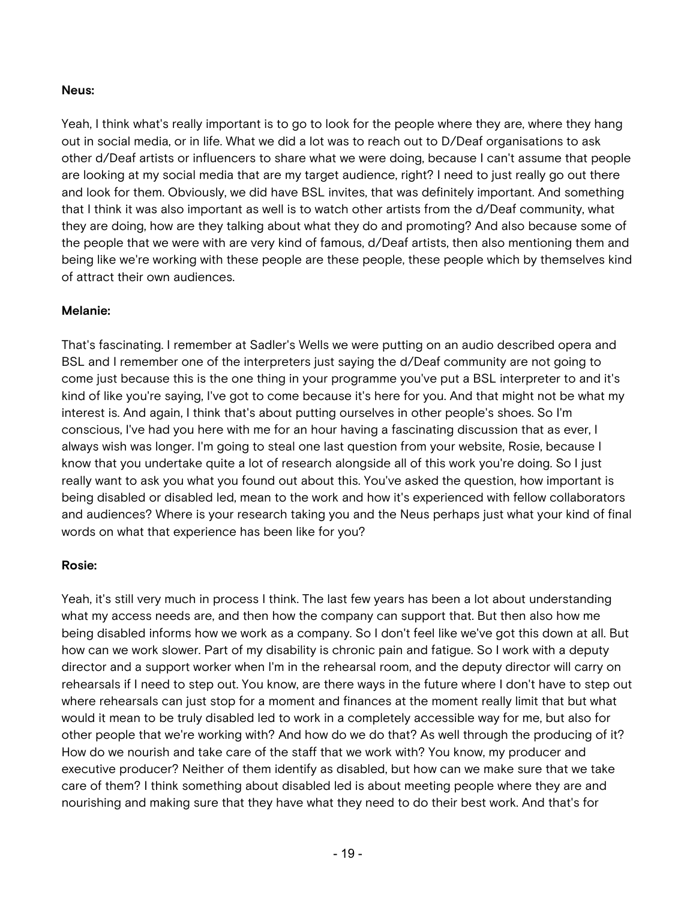### **Neus:**

Yeah, I think what's really important is to go to look for the people where they are, where they hang out in social media, or in life. What we did a lot was to reach out to D/Deaf organisations to ask other d/Deaf artists or influencers to share what we were doing, because I can't assume that people are looking at my social media that are my target audience, right? I need to just really go out there and look for them. Obviously, we did have BSL invites, that was definitely important. And something that I think it was also important as well is to watch other artists from the d/Deaf community, what they are doing, how are they talking about what they do and promoting? And also because some of the people that we were with are very kind of famous, d/Deaf artists, then also mentioning them and being like we're working with these people are these people, these people which by themselves kind of attract their own audiences.

### **Melanie:**

That's fascinating. I remember at Sadler's Wells we were putting on an audio described opera and BSL and I remember one of the interpreters just saying the d/Deaf community are not going to come just because this is the one thing in your programme you've put a BSL interpreter to and it's kind of like you're saying, I've got to come because it's here for you. And that might not be what my interest is. And again, I think that's about putting ourselves in other people's shoes. So I'm conscious, I've had you here with me for an hour having a fascinating discussion that as ever, I always wish was longer. I'm going to steal one last question from your website, Rosie, because I know that you undertake quite a lot of research alongside all of this work you're doing. So I just really want to ask you what you found out about this. You've asked the question, how important is being disabled or disabled led, mean to the work and how it's experienced with fellow collaborators and audiences? Where is your research taking you and the Neus perhaps just what your kind of final words on what that experience has been like for you?

#### **Rosie:**

Yeah, it's still very much in process I think. The last few years has been a lot about understanding what my access needs are, and then how the company can support that. But then also how me being disabled informs how we work as a company. So I don't feel like we've got this down at all. But how can we work slower. Part of my disability is chronic pain and fatigue. So I work with a deputy director and a support worker when I'm in the rehearsal room, and the deputy director will carry on rehearsals if I need to step out. You know, are there ways in the future where I don't have to step out where rehearsals can just stop for a moment and finances at the moment really limit that but what would it mean to be truly disabled led to work in a completely accessible way for me, but also for other people that we're working with? And how do we do that? As well through the producing of it? How do we nourish and take care of the staff that we work with? You know, my producer and executive producer? Neither of them identify as disabled, but how can we make sure that we take care of them? I think something about disabled led is about meeting people where they are and nourishing and making sure that they have what they need to do their best work. And that's for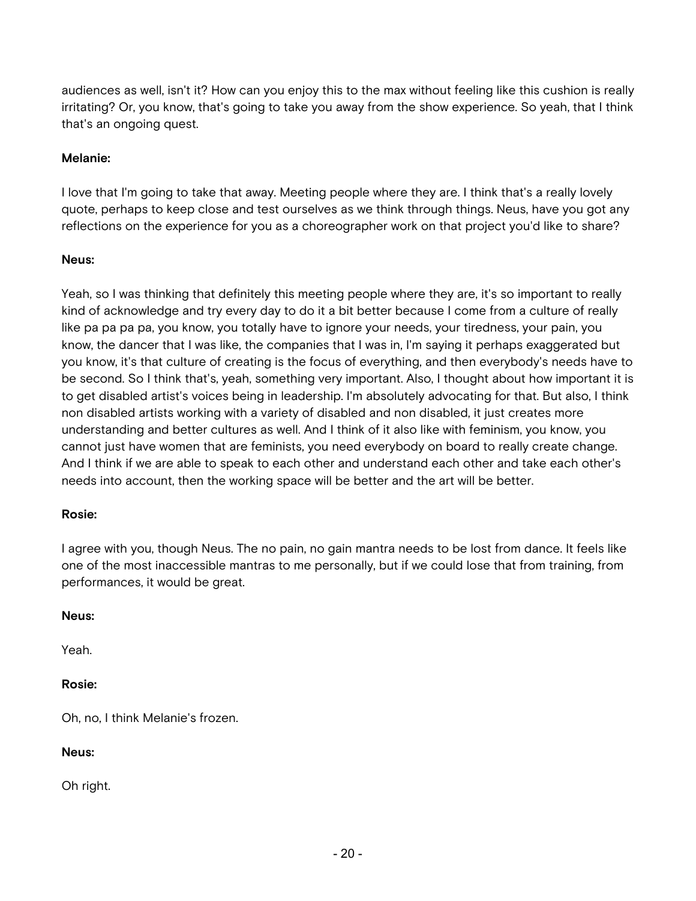audiences as well, isn't it? How can you enjoy this to the max without feeling like this cushion is really irritating? Or, you know, that's going to take you away from the show experience. So yeah, that I think that's an ongoing quest.

### **Melanie:**

I love that I'm going to take that away. Meeting people where they are. I think that's a really lovely quote, perhaps to keep close and test ourselves as we think through things. Neus, have you got any reflections on the experience for you as a choreographer work on that project you'd like to share?

#### **Neus:**

Yeah, so I was thinking that definitely this meeting people where they are, it's so important to really kind of acknowledge and try every day to do it a bit better because I come from a culture of really like pa pa pa pa, you know, you totally have to ignore your needs, your tiredness, your pain, you know, the dancer that I was like, the companies that I was in, I'm saying it perhaps exaggerated but you know, it's that culture of creating is the focus of everything, and then everybody's needs have to be second. So I think that's, yeah, something very important. Also, I thought about how important it is to get disabled artist's voices being in leadership. I'm absolutely advocating for that. But also, I think non disabled artists working with a variety of disabled and non disabled, it just creates more understanding and better cultures as well. And I think of it also like with feminism, you know, you cannot just have women that are feminists, you need everybody on board to really create change. And I think if we are able to speak to each other and understand each other and take each other's needs into account, then the working space will be better and the art will be better.

#### **Rosie:**

I agree with you, though Neus. The no pain, no gain mantra needs to be lost from dance. It feels like one of the most inaccessible mantras to me personally, but if we could lose that from training, from performances, it would be great.

#### **Neus:**

Yeah.

#### **Rosie:**

Oh, no, I think Melanie's frozen.

#### **Neus:**

Oh right.